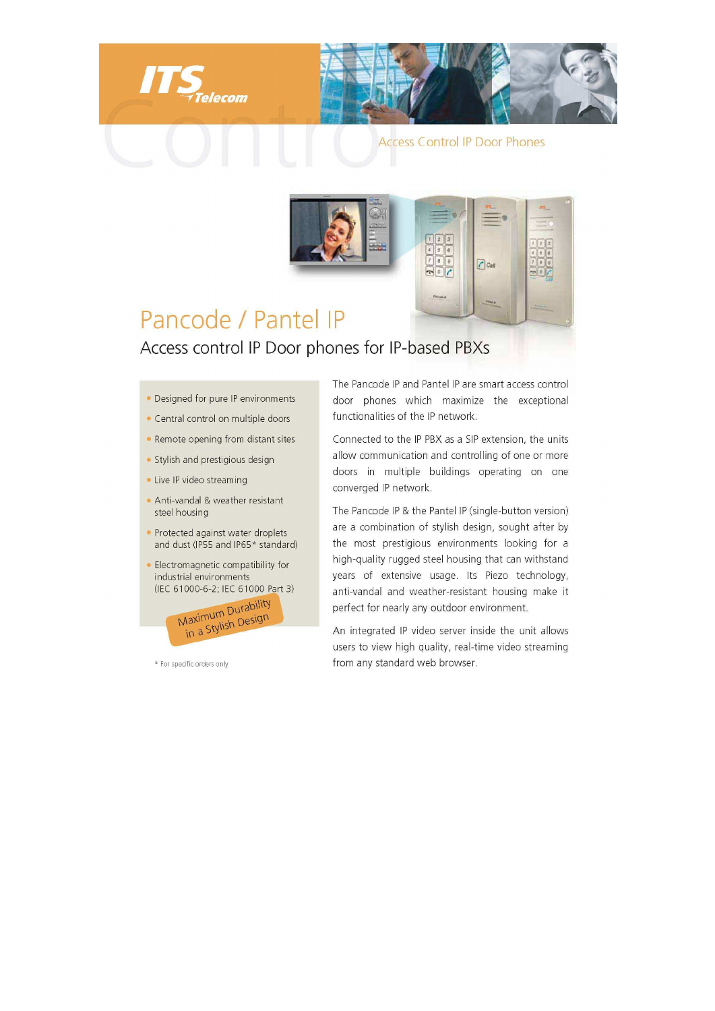

**Access Control IP Door Phones** 

 $C$  Call



lecom

Access control IP Door phones for IP-based PBXs

- Designed for pure IP environments
- Central control on multiple doors
- Remote opening from distant sites
- · Stylish and prestigious design
- Live IP video streaming
- Anti-vandal & weather resistant steel housing
- Protected against water droplets and dust (IP55 and IP65\* standard)
- Electromagnetic compatibility for industrial environments (IEC 61000-6-2; IEC 61000 Part 3)



\* For specific orders only

The Pancode IP and Pantel IP are smart access control door phones which maximize the exceptional functionalities of the IP network.

Connected to the IP PBX as a SIP extension, the units allow communication and controlling of one or more doors in multiple buildings operating on one converged IP network.

The Pancode IP & the Pantel IP (single-button version) are a combination of stylish design, sought after by the most prestigious environments looking for a high-quality rugged steel housing that can withstand years of extensive usage. Its Piezo technology, anti-vandal and weather-resistant housing make it perfect for nearly any outdoor environment.

An integrated IP video server inside the unit allows users to view high quality, real-time video streaming from any standard web browser.